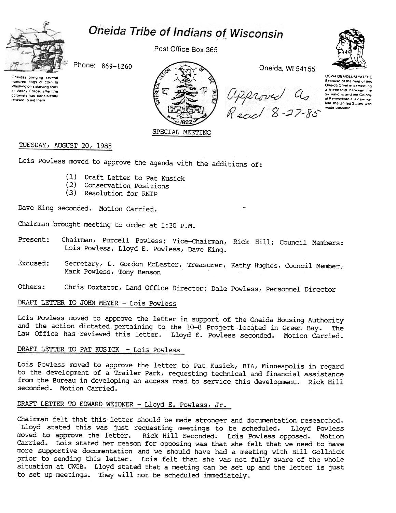# Oneida Tribe of Indians of Wisconsin



Post Office Box 365



Oneidas bringing several "undred bags 01 corn 10 "'a50lnglon 5 sla~,ng army at Valley Forge, after the colonists had consistently refused to aid them



approved as<br>Réad 8-27-85



UGWA DEMOLUM YATEHE Because of the neig of this Oneida Chief in cementing a Iriendship between the six nations and the Colony of Pennsylvania, a new na-The United States was made possible

# TUESDAY, AUGUST 20, 1985

Lois Powless moved to approve the agenda with the additions of:

- (1) Draft Letter to Pat Kusic
- (2) Conservation Positic
- (3) Resolution for RNIP

Dave King seconded. Motion Carried.

Chairman brought meeting to order at 1:30 P.M.

- Present: Chairman, Purcell Powless; Vice-Chairman, Rick Hill; Council Members: Lois Powless, Lloyd E. Powless, Dave King.
- Excused: Secretary, L. Gordon McLester, Treasurer, Kathy Hughes, Council Member, Mark Powless, Tony Benson
- Chris Doxtator, Land Office Director; Dale Powless, Personnel Director Others:

## DRAFT LETTER TO JOHN MEYER - Lois Powless

Lois Powless moved to approve the letter in support of the Oneida Housing Authority and the action dictated pertaining to the 10-8 Project located in Green Bay. The Law Office has reviewed this letter. Lloyd E. Powless seconded. Motion Carried.

### DRAFT LETTER TO PAT KUSICK - Lois Powless

Lois Powless moved to approve the letter to Pat Kusick, BlA, Minneapolis in regard to the development of a Trailer Park, requesting technical and financial assistance from the Bureau in developing an access road to service this development. Rick Hill seconded. Motion Carried.

# DRAFT LETTER TO EDWARD WEIDNER - Lloyd E. Powless, Jr.

Chairman felt that this letter should be made stronger and documentation researched. Lloyd stated this was just requesting meetings to be scheduled. Lloyd Powless moved to approve the letter. Rick Hill Seconded. Lois Powless opposed. Motion Carried. Lois stated her reason for opposing was that she felt that we need to have more supportive documentation and we should have had a meeting with Bill Gollnick prior to sending this letter. Lois felt that she was not fully aware of the whole situation at OWGB. Lloyd stated that a meeting can be set up and the letter is just to set up meetings. They will not be scheduled immediately.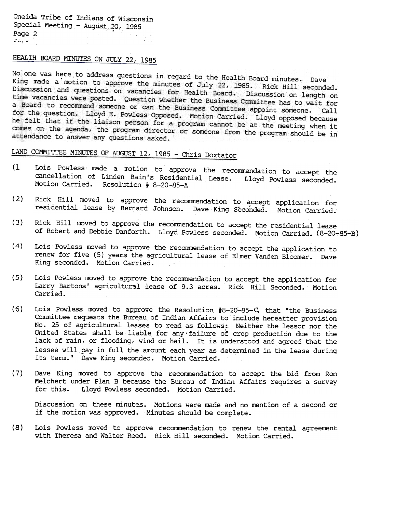Oneida Tribe of Indians of Wisconsin Special Meeting - August;,20, 1985 Page 2 ang en Is

# HEALTH BOARD MINUTES ON JULY 22, 1985

No one was here to address questions in regard to the Health Board minutes. Dave King made a motion to approve the minutes of July 22, 1985. Rick Hill seconded.<br>Discussion and questions on vacancies for Hoalth B. . . . . Rick Hill seconded. Discussion and questions on vacancies for Health Board. Discussion on length on<br>time vacancies were posted. Ouestion whether the Business On Suscussion on length on time vacancies were posted. Question whether the Business Committee has to wait for<br>a Board to recommend someone or can the Business Committee has to wait for a Board to recommend someone or can the Business Committee has to wait for<br>for the question. Lloyd F. Poylogg Opposed Music at the appoint someone. Call for the question. Lloyd E. Powless Opposed. Motion Carried. Lloyd opposed because<br>he felt that if the liaison person for a motion Carried. Lloyd opposed because he felt that if the liaison person for a program cannot be at the meeting when it<br>comes on the agenda, the program director or agreement of the meeting when it comes on the agenda, the program director or someone from the program should be in attendance to answer any questions asked.

LAND COMMITTEE MINUTES OF AUGUST 12, 1985 - Chris Doxtator

- (1 Lois Powless made a motion to approve the recommendation to accept the cancellation of Linden Bain's Residential Lease. Lloyd Powless seconded. Motion Carried. Resolution # 8-20-85-A
- (2) Rick Hill moved to approve the recommendation to accept application for residential lease by Bernard Johnson. Dave King Seconded. Motion Carried.
- (3) Rick Hill moved to approve the recommendation to accept the residential lease of Robert and Debbie Danforth. Lloyd Powless seconded. Motion Carried. (8-20-85-B)
- (4) Lois Powless moved to approve the recommendation to accept the application to renew for five (5) years the agricultural lease of Elmer Vanden Bloomer. Dave King seconded. Motion Carried.
- (5) Lois Powless moved to approve the recommendation to accept the application for Larry Bartons' agricultural lease of 9.3 acres. Rick Hill Seconded. Motion Carried.
- (6) Lois Powless moved to approve the Resolution  $#8-20-85-C$ , that "the Business Committee requests the Bureau of Indian Affairs to include hereafter provision No. 25 of agricultural leases to read as follows: Neither the lessor nor the United States shall be liable for any-failure of crop production due to the lack of rain, or flooding, wind or hail. It is understood and agreed that the lessee will pay in full the amount each year as determined in the lease during its term." Dave King seconded. Motion Carried.
- (7) Dave King roved to approve the recommendation to accept the bid from Ron Melchert under Plan B because the Bureau of Indian Affairs requires a survey for this. Lloyd Powless seconded. Motion Carried.

Discussion on these minutes. Motions were made and no mention of a second or if the motion was approved. Minutes should be complet

(8) Lois Powless moved to approve recommendation to renew the rental agreement with Theresa and Walter Reed. Rick Hill seconded. Motion Carried.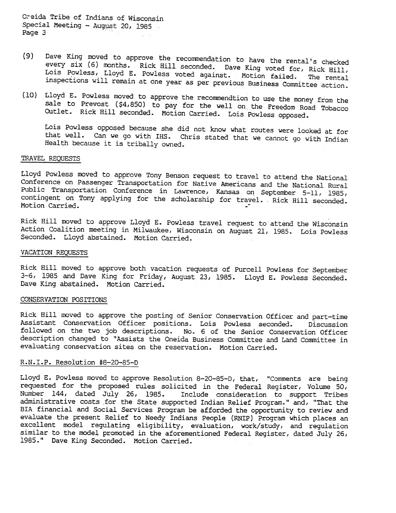O?eida Tribe of Indians of Wisconsin Special Meeting - August 20, 1985 .<br>Page 3

- (9) Dave King moved to approve the recommendation to have the rental's checked every six (6) months. Rick Hill seconded. Dave King voted for, Rick Hill, Lois Powless, Lloyd E. Powless voted against. Motion failed. The rental inspections will remain at one year as per previous Business Committee action.
- (10) Lloyd E. Powless moved to approve the recommendtion to use the money from the sale to Prevost (\$4,850) to pay for the well on the Freedom Road Tobacco Outlet. Rick Hill seconded. Motion Carried. Lois Powless opposed.

Lois Powless opposed because she did not know what routes were looked at for that well. Can we go with IHS. Chris stated that we cannot go with Indian Health because it is tribally owned.

### TRAVEL REQUESTS

Lloyd Powless moved to approve Tony Benson request to travel to attend the National Conference on Passenger Transportation for Native Americans and the National Rural Public Transportation Conference in Lawrence, Kansas on September 5-11, 1985, contingent on Tony applying for the scholarship for travel. . Rick Hill seconder Motion Carried.

Rick Hill moved to approve Lloyd E. Powless travel request to attend the Wisconsin Action Coalition meeting in Milwaukee, Wisconsin on August 21, 1985. Lois Powless Seconded. Lloyd abstained. Motion Carried.

#### VACATION REQUESTS

Rick Hill moved to approve both vacation requests of Purcell Powless for September 3-6, 1985 and Dave King for Friday, August 23, 1985. Lloyd E. Powless Seconded. Dave King abstained. Motion Carried.

### CONSERVATION POSITIONS

Rick Hill moved to approve the posting of Senior Conservation Officer and part-time Assistant Conservation Officer positions. Lois Powless seconded. Discussion followed on the two job descriptions. No.6 of the Senior Conservation Officer description changed to "Assists the Oneida Business Committee and Land Committee in evaluating conservation sites on the reservation. Motion Carried.

### R.N.I.P. Resolution #8-20-85-D

Lloyd E. Powless moved to approve Resolution 8-20-85-D, that, "Comments are being requested for the proposed rules solicited in the Federal Register, Volume 50, Include consideration to support Tribes administrative costs .for the State supported Indian Relief Program." and, "That the BIA financial and Social Services Program be afforded the opportunity to review and evaluate the present Relief to Needy Indians People (RNIP) Program which places an excellent model regulating eligibility, evaluation, work/study, and regulation similar to the model promoted in the aforementioned Federal Register, dated July 26, 1985." Dave King Seconded. Motion Carried.